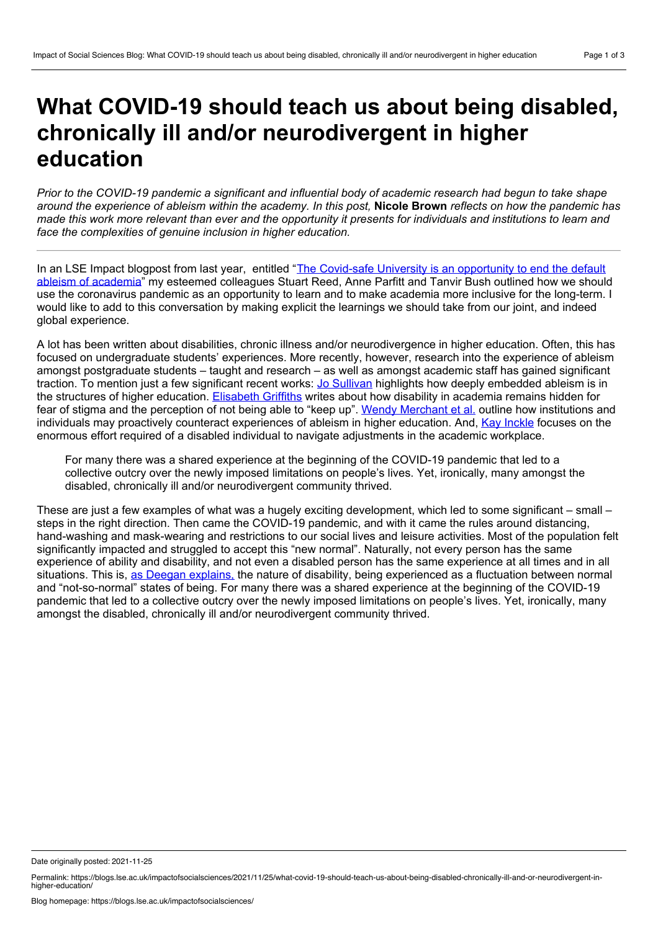## **What COVID-19 should teach us about being disabled, chronically ill and/or neurodivergent in higher education**

Prior to the COVID-19 pandemic a significant and influential body of academic research had begun to take shape around the experience of ableism within the academy. In this post, Nicole Brown reflects on how the pandemic has made this work more relevant than ever and the opportunity it presents for individuals and institutions to learn and *face the complexities of genuine inclusion in higher education.*

In an LSE Impact blogpost from last year, entitled "The Covid-safe University is an [opportunity](https://blogs.lse.ac.uk/impactofsocialsciences/2020/12/10/the-covid-safe-university-is-an-opportunity-to-end-the-default-ableism-of-academia/) to end the default ableism of academia" my esteemed colleagues Stuart Reed, Anne Parfitt and Tanvir Bush outlined how we should use the coronavirus pandemic as an opportunity to learn and to make academia more inclusive for the long-term. I would like to add to this conversation by making explicit the learnings we should take from our joint, and indeed global experience.

A lot has been written about disabilities, chronic illness and/or neurodivergence in higher education. Often, this has focused on undergraduate students' experiences. More recently, however, research into the experience of ableism amongst postgraduate students – taught and research – as well as amongst academic staff has gained significant traction. To mention just a few significant recent works: Jo [Sullivan](https://policy.bristoluniversitypress.co.uk/lived-experiences-of-ableism-in-academia) highlights how deeply embedded ableism is in the structures of higher education. [Elisabeth](https://doi.org/10.2307/j.ctv13xprjr.13) Griffiths writes about how disability in academia remains hidden for fear of stigma and the perception of not being able to "keep up". Wendy [Merchant](https://link.springer.com/content/pdf/10.1007/s10734-019-00479-0.pdf) et al. outline how institutions and individuals may proactively counteract experiences of ableism in higher education. And, Kay [Inckle](https://www.tandfonline.com/doi/full/10.1080/09687599.2018.1480263) focuses on the enormous effort required of a disabled individual to navigate adjustments in the academic workplace.

For many there was a shared experience at the beginning of the COVID-19 pandemic that led to a collective outcry over the newly imposed limitations on people's lives. Yet, ironically, many amongst the disabled, chronically ill and/or neurodivergent community thrived.

These are just a few examples of what was a hugely exciting development, which led to some significant – small – steps in the right direction. Then came the COVID-19 pandemic, and with it came the rules around distancing, hand-washing and mask-wearing and restrictions to our social lives and leisure activities. Most of the population felt significantly impacted and struggled to accept this "new normal". Naturally, not every person has the same experience of ability and disability, and not even a disabled person has the same experience at all times and in all situations. This is, as Deegan [explains,](https://www.emerald.com/insight/content/doi/10.1108/S1479-3547(2010)0000005004/full/html) the nature of disability, being experienced as a fluctuation between normal and "not-so-normal" states of being. For many there was a shared experience at the beginning of the COVID-19 pandemic that led to a collective outcry over the newly imposed limitations on people's lives. Yet, ironically, many amongst the disabled, chronically ill and/or neurodivergent community thrived.

Date originally posted: 2021-11-25

Permalink: https://blogs.lse.ac.uk/impactofsocialsciences/2021/11/25/what-covid-19-should-teach-us-about-being-disabled-chronically-ill-and-or-neurodivergent-in-<br>higher-education/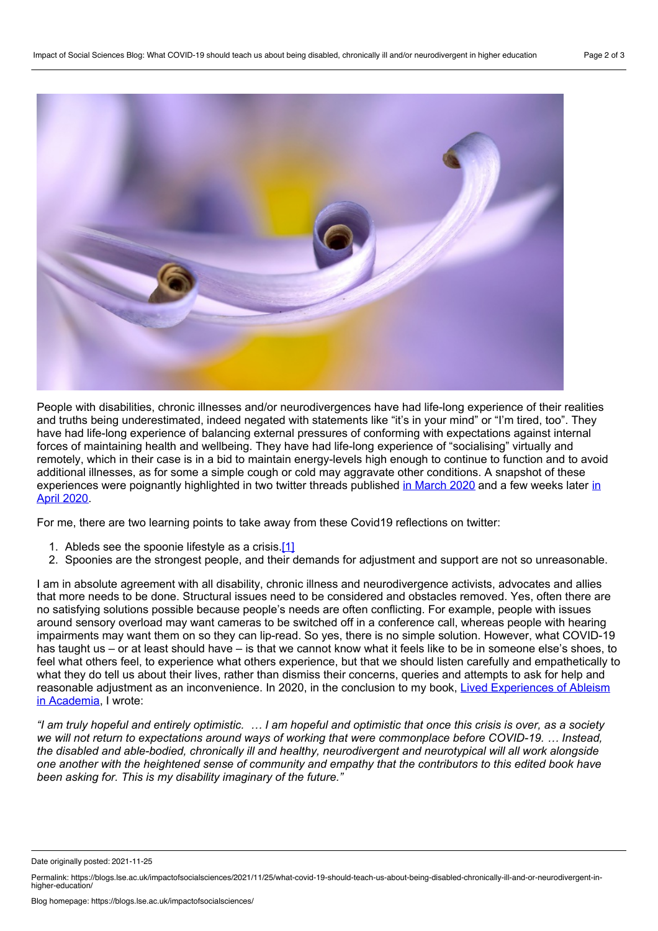

People with disabilities, chronic illnesses and/or neurodivergences have had life-long experience of their realities and truths being underestimated, indeed negated with statements like "it's in your mind" or "I'm tired, too". They have had life-long experience of balancing external pressures of conforming with expectations against internal forces of maintaining health and wellbeing. They have had life-long experience of "socialising" virtually and remotely, which in their case is in a bid to maintain energy-levels high enough to continue to function and to avoid additional illnesses, as for some a simple cough or cold may aggravate other conditions. A snapshot of these [experiences](https://twitter.com/FibroIdentity/status/1251475332923904000) were poignantly highlighted in two twitter threads published in [March](https://twitter.com/FibroIdentity/status/1240571106056167425) 2020 and a few weeks later in April 2020.

For me, there are two learning points to take away from these Covid19 reflections on twitter:

- <span id="page-1-0"></span>1. Ableds see the spoonie lifestyle as a crisis.[\[1\]](#page-2-0)
- 2. Spoonies are the strongest people, and their demands for adjustment and support are not so unreasonable.

I am in absolute agreement with all disability, chronic illness and neurodivergence activists, advocates and allies that more needs to be done. Structural issues need to be considered and obstacles removed. Yes, often there are no satisfying solutions possible because people's needs are often conflicting. For example, people with issues around sensory overload may want cameras to be switched off in a conference call, whereas people with hearing impairments may want them on so they can lip-read. So yes, there is no simple solution. However, what COVID-19 has taught us – or at least should have – is that we cannot know what it feels like to be in someone else's shoes, to feel what others feel, to experience what others experience, but that we should listen carefully and empathetically to what they do tell us about their lives, rather than dismiss their concerns, queries and attempts to ask for help and reasonable adjustment as an [inconvenience.](https://policy.bristoluniversitypress.co.uk/lived-experiences-of-ableism-in-academia) In 2020, in the conclusion to my book, Lived Experiences of Ableism in Academia, I wrote:

"I am truly hopeful and entirely optimistic. ... I am hopeful and optimistic that once this crisis is over, as a society we will not return to expectations around ways of working that were commonplace before COVID-19. ... Instead, *the disabled and able-bodied, chronically ill and healthy, neurodivergent and neurotypical will all work alongside* one another with the heightened sense of community and empathy that the contributors to this edited book have *been asking for. This is my disability imaginary of the future."*

Date originally posted: 2021-11-25

Permalink: https://blogs.lse.ac.uk/impactofsocialsciences/2021/11/25/what-covid-19-should-teach-us-about-being-disabled-chronically-ill-and-or-neurodivergent-in-<br>higher-education/